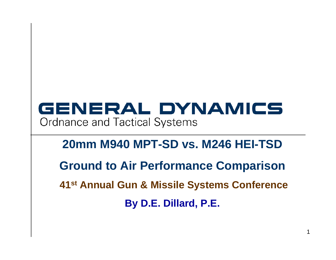# GENERAL DYNAMICS **Ordnance and Tactical Systems**

## **20mm M940 MPT-SD vs. M246 HEI-TSD**

**Ground to Air Performance Comparison**

**41st Annual Gun & Missile Systems Conference**

**By D.E. Dillard, P.E.**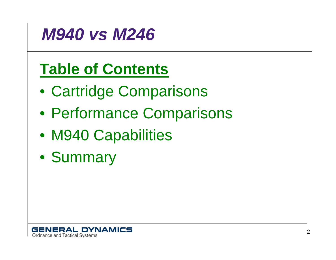

# **Table of Contents**

- Cartridge Comparisons
- Performance Comparisons
- M940 Capabilities
- Summary

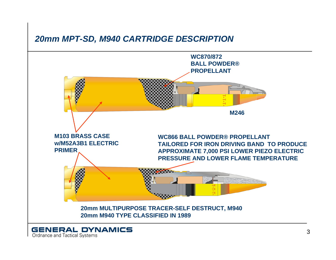#### *20mm MPT-SD, M940 CARTRIDGE DESCRIPTION*

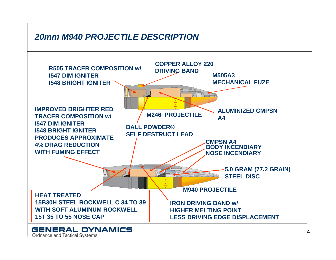### *20mm M940 PROJECTILE DESCRIPTION*

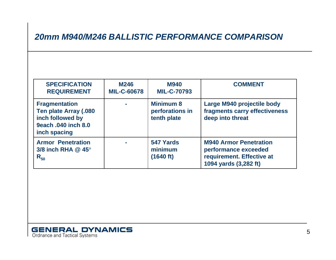### *20mm M940/M246 BALLISTIC PERFORMANCE COMPARISON*

| <b>SPECIFICATION</b><br><b>REQUIREMENT</b>                                                               | <b>M246</b><br><b>MIL-C-60678</b> | <b>M940</b><br><b>MIL-C-70793</b>                  | <b>COMMENT</b>                                                                                              |
|----------------------------------------------------------------------------------------------------------|-----------------------------------|----------------------------------------------------|-------------------------------------------------------------------------------------------------------------|
| <b>Fragmentation</b><br>Ten plate Array (.080<br>inch followed by<br>9each .040 inch 8.0<br>inch spacing | $\sim$                            | <b>Minimum 8</b><br>perforations in<br>tenth plate | Large M940 projectile body<br>fragments carry effectiveness<br>deep into threat                             |
| <b>Armor Penetration</b><br>3/8 inch RHA $@$ 45 $^{\circ}$<br>$R_{50}$                                   | $\blacksquare$                    | 547 Yards<br>minimum<br>(1640 ft)                  | <b>M940 Armor Penetration</b><br>performance exceeded<br>requirement. Effective at<br>1094 yards (3,282 ft) |

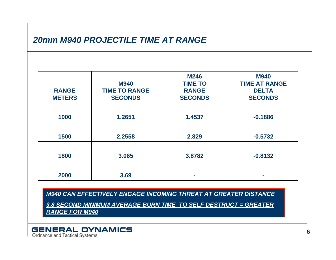#### *20mm M940 PROJECTILE TIME AT RANGE*

| <b>RANGE</b><br><b>METERS</b> | <b>M940</b><br><b>TIME TO RANGE</b><br><b>SECONDS</b> | <b>M246</b><br><b>TIME TO</b><br><b>RANGE</b><br><b>SECONDS</b> | <b>M940</b><br><b>TIME AT RANGE</b><br><b>DELTA</b><br><b>SECONDS</b> |
|-------------------------------|-------------------------------------------------------|-----------------------------------------------------------------|-----------------------------------------------------------------------|
| 1000                          | 1.2651                                                | 1.4537                                                          | $-0.1886$                                                             |
| 1500                          | 2.2558                                                | 2.829                                                           | $-0.5732$                                                             |
| 1800                          | 3.065                                                 | 3.8782                                                          | $-0.8132$                                                             |
| 2000                          | 3.69                                                  |                                                                 |                                                                       |

*M940 CAN EFFECTIVELY ENGAGE INCOMING THREAT AT GREATER DISTANCE 3.8 SECOND MINIMUM AVERAGE BURN TIME TO SELF DESTRUCT = GREATER RANGE FOR M940*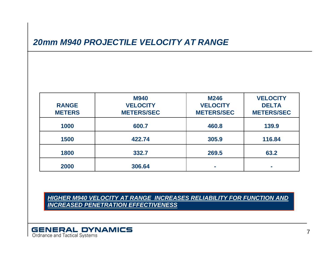#### *20mm M940 PROJECTILE VELOCITY AT RANGE*

| <b>RANGE</b><br><b>METERS</b> | <b>M940</b><br><b>VELOCITY</b><br><b>METERS/SEC</b> | <b>M246</b><br><b>VELOCITY</b><br><b>METERS/SEC</b> | <b>VELOCITY</b><br><b>DELTA</b><br><b>METERS/SEC</b> |
|-------------------------------|-----------------------------------------------------|-----------------------------------------------------|------------------------------------------------------|
| 1000                          | 600.7                                               | 460.8                                               | 139.9                                                |
| 1500                          | 422.74                                              | 305.9                                               | 116.84                                               |
| 1800                          | 332.7                                               | 269.5                                               | 63.2                                                 |
| 2000                          | 306.64                                              | <b>COL</b>                                          |                                                      |

*HIGHER M940 VELOCITY AT RANGE INCREASES RELIABILITY FOR FUNCTION AND INCREASED PENETRATION EFFECTIVENESS*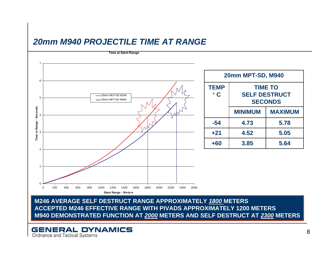#### *20mm M940 PROJECTILE TIME AT RANGE*



**M246 AVERAGE SELF DESTRUCT RANGE APPROXIMATELY** *1800* **METERS ACCEPTED M246 EFFECTIVE RANGE WITH PIVADS APPROXIMATELY 1200 METERS M940 DEMONSTRATED FUNCTION AT** *2000* **METERS AND SELF DESTRUCT AT** *2300* **METERS**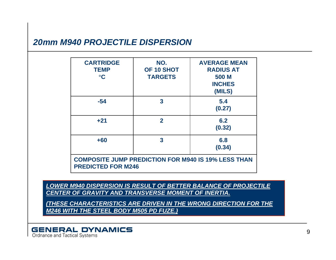#### *20mm M940 PROJECTILE DISPERSION*

| <b>CARTRIDGE</b><br><b>TEMP</b><br>$\circ$ C                                            | NO.<br>OF 10 SHOT<br><b>TARGETS</b> | <b>AVERAGE MEAN</b><br><b>RADIUS AT</b><br>500 M<br><b>INCHES</b><br>(MILS) |  |  |
|-----------------------------------------------------------------------------------------|-------------------------------------|-----------------------------------------------------------------------------|--|--|
| $-54$                                                                                   | 3                                   | 5.4<br>(0.27)                                                               |  |  |
| $+21$                                                                                   | $\mathbf{2}$                        | 6.2<br>(0.32)                                                               |  |  |
| $+60$                                                                                   | $\overline{\mathbf{3}}$             | 6.8<br>(0.34)                                                               |  |  |
| <b>COMPOSITE JUMP PREDICTION FOR M940 IS 19% LESS THAN</b><br><b>PREDICTED FOR M246</b> |                                     |                                                                             |  |  |

*LOWER M940 DISPERSION IS RESULT OF BETTER BALANCE OF PROJECTILE CENTER OF GRAVITY AND TRANSVERSE MOMENT OF INERTIA.*

*(THESE CHARACTERISTICS ARE DRIVEN IN THE WRONG DIRECTION FOR THE M246 WITH THE STEEL BODY M505 PD FUZE.)*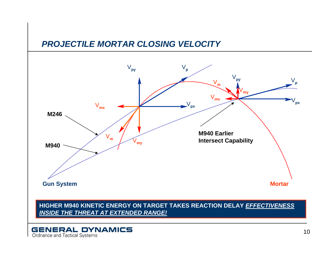



#### **HIGHER M940 KINETIC ENERGY ON TARGET TAKES REACTION DELAY** *EFFECTIVENESS INSIDE THE THREAT AT EXTENDED RANGE!*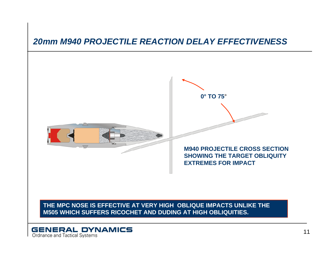

**THE MPC NOSE IS EFFECTIVE AT VERY HIGH OBLIQUE IMPACTS UNLIKE THE M505 WHICH SUFFERS RICOCHET AND DUDING AT HIGH OBLIQUITIES.**

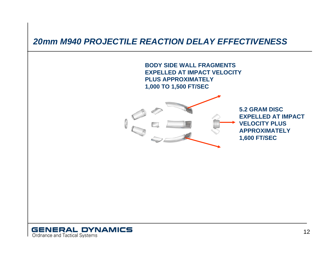

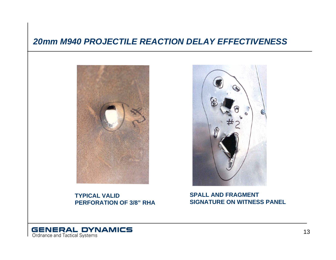

**TYPICAL VALIDPERFORATION OF 3/8" RHA**



**SPALL AND FRAGMENTSIGNATURE ON WITNESS PANEL**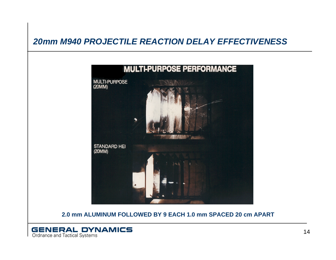

**2.0 mm ALUMINUM FOLLOWED BY 9 EACH 1.0 mm SPACED 20 cm APART**

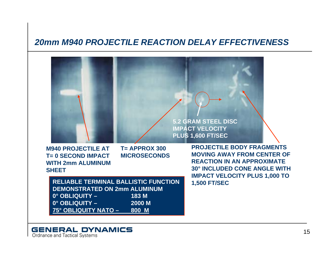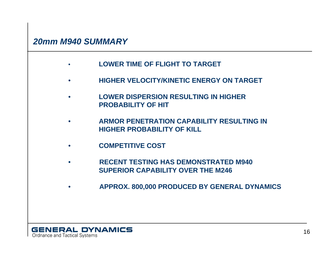#### *20mm M940 SUMMARY*

- $\bullet$ **LOWER TIME OF FLIGHT TO TARGET**
- $\bullet$ **HIGHER VELOCITY/KINETIC ENERGY ON TARGET**
- $\bullet$  **LOWER DISPERSION RESULTING IN HIGHER PROBABILITY OF HIT**
- $\bullet$  **ARMOR PENETRATION CAPABILITY RESULTING IN HIGHER PROBABILITY OF KILL**
- $\bullet$ **COMPETITIVE COST**
- $\bullet$  **RECENT TESTING HAS DEMONSTRATED M940 SUPERIOR CAPABILITY OVER THE M246**
- $\bullet$ **APPROX. 800,000 PRODUCED BY GENERAL DYNAMICS**